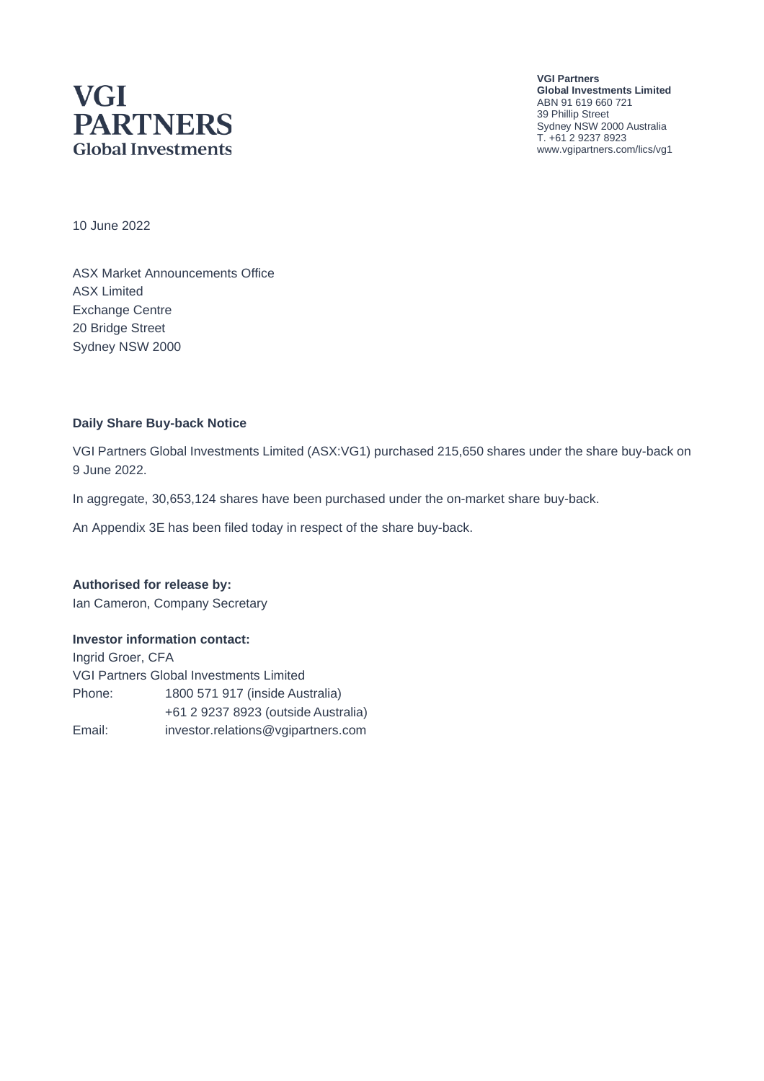# **VGI PARTNERS Global Investments**

**VGI Partners Global Investments Limited** ABN 91 619 660 721 39 Phillip Street Sydney NSW 2000 Australia T. +61 2 9237 8923 www.vgipartners.com/lics/vg1

10 June 2022

ASX Market Announcements Office ASX Limited Exchange Centre 20 Bridge Street Sydney NSW 2000

#### **Daily Share Buy-back Notice**

VGI Partners Global Investments Limited (ASX:VG1) purchased 215,650 shares under the share buy-back on 9 June 2022.

In aggregate, 30,653,124 shares have been purchased under the on-market share buy-back.

An Appendix 3E has been filed today in respect of the share buy-back.

**Authorised for release by:** Ian Cameron, Company Secretary

#### **Investor information contact:**

Ingrid Groer, CFA VGI Partners Global Investments Limited Phone: 1800 571 917 (inside Australia) +61 2 9237 8923 (outside Australia) Email: investor.relations@vgipartners.com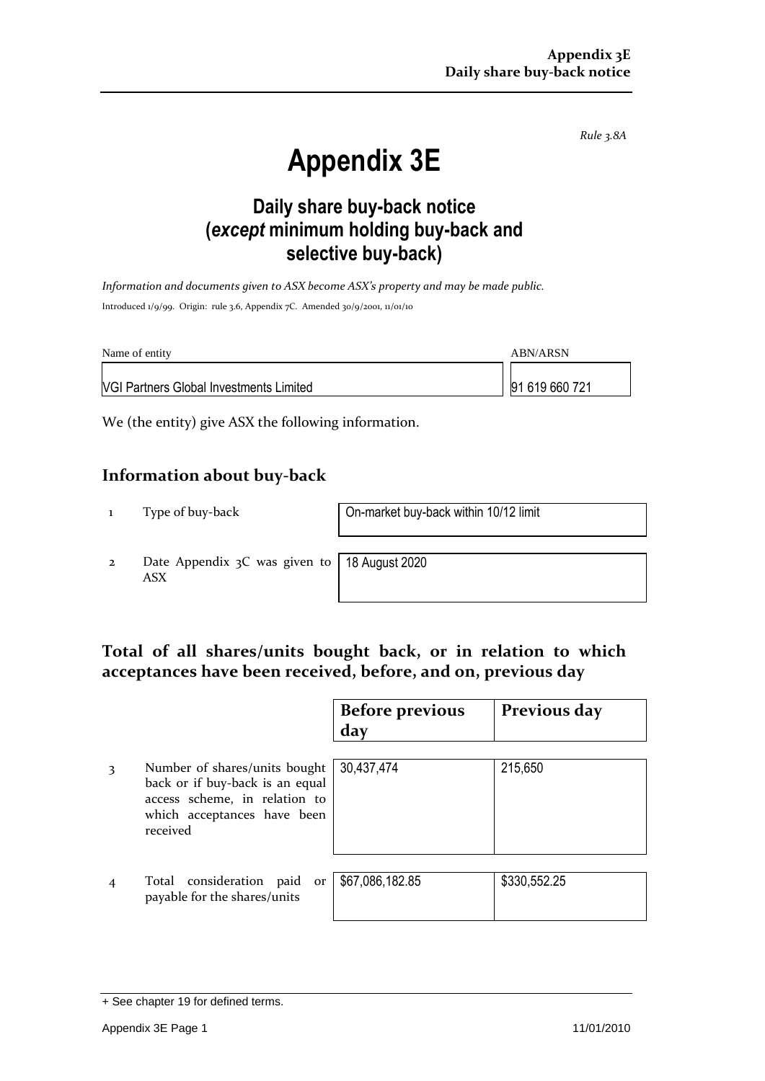*Rule 3.8A*

# **Appendix 3E**

## **Daily share buy-back notice (***except* **minimum holding buy-back and selective buy-back)**

*Information and documents given to ASX become ASX's property and may be made public.* Introduced 1/9/99. Origin: rule 3.6, Appendix 7C. Amended 30/9/2001, 11/01/10

| Name of entity                                 | ABN/ARSN       |
|------------------------------------------------|----------------|
| <b>NGI Partners Global Investments Limited</b> | 91 619 660 721 |

We (the entity) give ASX the following information.

#### **Information about buy-back**

1 Type of buy-back On-market buy-back within 10/12 limit

2 Date Appendix 3C was given to ASX

18 August 2020

#### **Total of all shares/units bought back, or in relation to which acceptances have been received, before, and on, previous day**

|   |                                                                                                                                              | <b>Before previous</b><br>day | Previous day |
|---|----------------------------------------------------------------------------------------------------------------------------------------------|-------------------------------|--------------|
| 3 | Number of shares/units bought<br>back or if buy-back is an equal<br>access scheme, in relation to<br>which acceptances have been<br>received | 30,437,474                    | 215,650      |
| 4 | Total consideration paid<br>or<br>payable for the shares/units                                                                               | \$67,086,182.85               | \$330,552.25 |

<sup>+</sup> See chapter 19 for defined terms.